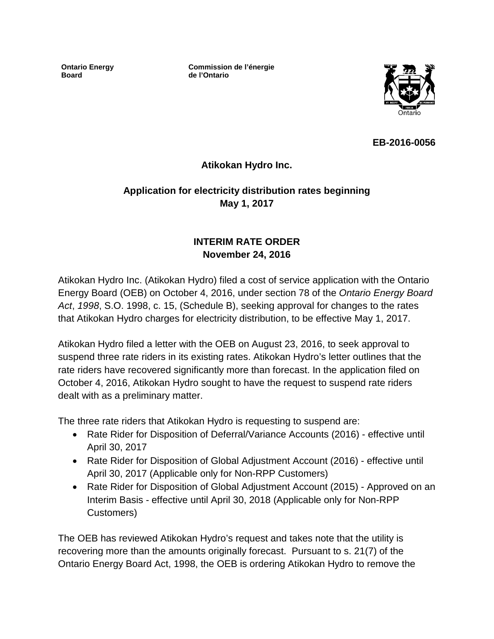**Ontario Energy Board**

**Commission de l'énergie de l'Ontario**



**EB-2016-0056**

## **Atikokan Hydro Inc.**

# **Application for electricity distribution rates beginning May 1, 2017**

## **INTERIM RATE ORDER November 24, 2016**

Atikokan Hydro Inc. (Atikokan Hydro) filed a cost of service application with the Ontario Energy Board (OEB) on October 4, 2016, under section 78 of the *Ontario Energy Board Act*, *1998*, S.O. 1998, c. 15, (Schedule B), seeking approval for changes to the rates that Atikokan Hydro charges for electricity distribution, to be effective May 1, 2017.

Atikokan Hydro filed a letter with the OEB on August 23, 2016, to seek approval to suspend three rate riders in its existing rates. Atikokan Hydro's letter outlines that the rate riders have recovered significantly more than forecast. In the application filed on October 4, 2016, Atikokan Hydro sought to have the request to suspend rate riders dealt with as a preliminary matter.

The three rate riders that Atikokan Hydro is requesting to suspend are:

- Rate Rider for Disposition of Deferral/Variance Accounts (2016) effective until April 30, 2017
- Rate Rider for Disposition of Global Adjustment Account (2016) effective until April 30, 2017 (Applicable only for Non-RPP Customers)
- Rate Rider for Disposition of Global Adjustment Account (2015) Approved on an Interim Basis - effective until April 30, 2018 (Applicable only for Non-RPP Customers)

The OEB has reviewed Atikokan Hydro's request and takes note that the utility is recovering more than the amounts originally forecast. Pursuant to s. 21(7) of the Ontario Energy Board Act, 1998, the OEB is ordering Atikokan Hydro to remove the